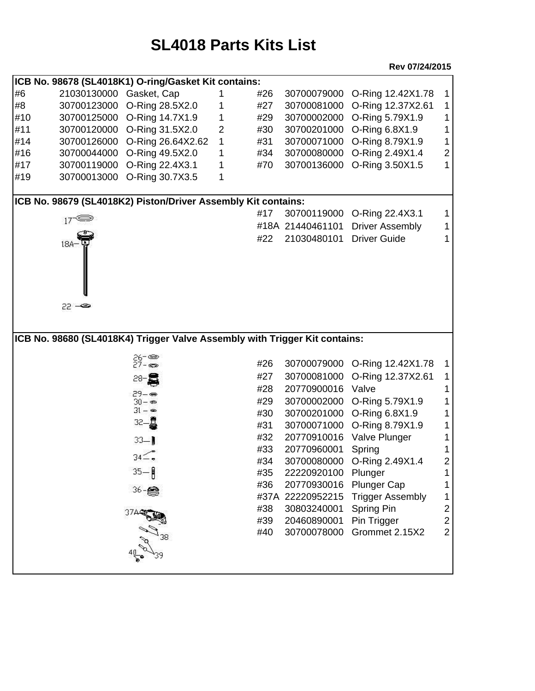## **SL4018 Parts Kits List**

**Rev 07/24/2015**

| ICB No. 98678 (SL4018K1) O-ring/Gasket Kit contains:          |                         |                                                                            |                |     |                  |                         |                |  |  |  |  |
|---------------------------------------------------------------|-------------------------|----------------------------------------------------------------------------|----------------|-----|------------------|-------------------------|----------------|--|--|--|--|
| #6                                                            | 21030130000 Gasket, Cap |                                                                            |                | #26 | 30700079000      | O-Ring 12.42X1.78       | 1              |  |  |  |  |
| #8                                                            | 30700123000             | O-Ring 28.5X2.0                                                            | 1              | #27 | 30700081000      | O-Ring 12.37X2.61       | 1              |  |  |  |  |
| #10                                                           |                         | 30700125000 O-Ring 14.7X1.9                                                | 1              | #29 | 30700002000      | O-Ring 5.79X1.9         |                |  |  |  |  |
| #11                                                           | 30700120000             | O-Ring 31.5X2.0                                                            | $\overline{2}$ | #30 | 30700201000      | O-Ring 6.8X1.9          |                |  |  |  |  |
| #14                                                           | 30700126000             | O-Ring 26.64X2.62                                                          | 1              | #31 | 30700071000      | O-Ring 8.79X1.9         | 1              |  |  |  |  |
| #16                                                           | 30700044000             | O-Ring 49.5X2.0                                                            | 1              | #34 | 30700080000      | O-Ring 2.49X1.4         | $\overline{c}$ |  |  |  |  |
| #17                                                           | 30700119000             | O-Ring 22.4X3.1                                                            | 1              | #70 | 30700136000      | O-Ring 3.50X1.5         |                |  |  |  |  |
| #19                                                           | 30700013000             | O-Ring 30.7X3.5                                                            | 1              |     |                  |                         |                |  |  |  |  |
|                                                               |                         |                                                                            |                |     |                  |                         |                |  |  |  |  |
| ICB No. 98679 (SL4018K2) Piston/Driver Assembly Kit contains: |                         |                                                                            |                |     |                  |                         |                |  |  |  |  |
|                                                               | $17 \leq$               |                                                                            |                | #17 | 30700119000      | O-Ring 22.4X3.1         | 1              |  |  |  |  |
|                                                               |                         |                                                                            |                |     | #18A 21440461101 | <b>Driver Assembly</b>  |                |  |  |  |  |
|                                                               | $18A-$                  |                                                                            |                | #22 | 21030480101      | <b>Driver Guide</b>     |                |  |  |  |  |
|                                                               |                         |                                                                            |                |     |                  |                         |                |  |  |  |  |
|                                                               |                         |                                                                            |                |     |                  |                         |                |  |  |  |  |
|                                                               |                         |                                                                            |                |     |                  |                         |                |  |  |  |  |
|                                                               |                         |                                                                            |                |     |                  |                         |                |  |  |  |  |
|                                                               | 22 - 23                 |                                                                            |                |     |                  |                         |                |  |  |  |  |
|                                                               |                         |                                                                            |                |     |                  |                         |                |  |  |  |  |
|                                                               |                         |                                                                            |                |     |                  |                         |                |  |  |  |  |
|                                                               |                         |                                                                            |                |     |                  |                         |                |  |  |  |  |
|                                                               |                         | ICB No. 98680 (SL4018K4) Trigger Valve Assembly with Trigger Kit contains: |                |     |                  |                         |                |  |  |  |  |
|                                                               |                         |                                                                            |                |     |                  |                         |                |  |  |  |  |
|                                                               |                         | 26- ఉం<br>27 - ఉం                                                          |                | #26 | 30700079000      | O-Ring 12.42X1.78       | 1              |  |  |  |  |
|                                                               |                         | $28 - 3$                                                                   |                | #27 | 30700081000      | O-Ring 12.37X2.61       |                |  |  |  |  |
|                                                               |                         | $29 - 89$                                                                  |                | #28 | 20770900016      | Valve                   |                |  |  |  |  |
|                                                               |                         | $30 -$                                                                     |                | #29 | 30700002000      | O-Ring 5.79X1.9         |                |  |  |  |  |
|                                                               |                         | $31 - 8$                                                                   |                | #30 | 30700201000      | O-Ring 6.8X1.9          |                |  |  |  |  |
|                                                               |                         | 32-a                                                                       |                | #31 | 30700071000      | O-Ring 8.79X1.9         |                |  |  |  |  |
|                                                               |                         | $33 - 1$                                                                   |                | #32 | 20770910016      | Valve Plunger           |                |  |  |  |  |
|                                                               |                         |                                                                            |                | #33 | 20770960001      | Spring                  |                |  |  |  |  |
|                                                               |                         | $34\leq$ .                                                                 |                | #34 | 30700080000      | O-Ring 2.49X1.4         | 2              |  |  |  |  |
|                                                               |                         | $35 - 5$                                                                   |                | #35 | 22220920100      | Plunger                 |                |  |  |  |  |
|                                                               |                         |                                                                            |                | #36 | 20770930016      | <b>Plunger Cap</b>      |                |  |  |  |  |
|                                                               |                         | 36-                                                                        |                |     | #37A 22220952215 | <b>Trigger Assembly</b> | 1              |  |  |  |  |
|                                                               |                         |                                                                            |                | #38 | 30803240001      | Spring Pin              | $\overline{c}$ |  |  |  |  |
|                                                               |                         |                                                                            |                | #39 | 20460890001      | Pin Trigger             | $\overline{c}$ |  |  |  |  |
|                                                               |                         |                                                                            |                | #40 | 30700078000      | Grommet 2.15X2          | $\overline{2}$ |  |  |  |  |
|                                                               |                         |                                                                            |                |     |                  |                         |                |  |  |  |  |
|                                                               |                         |                                                                            |                |     |                  |                         |                |  |  |  |  |